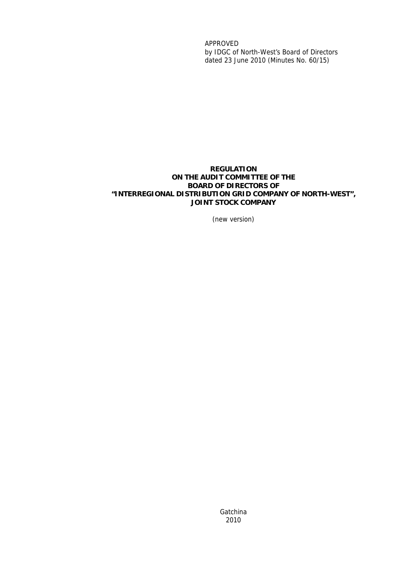APPROVED by IDGC of North-West's Board of Directors dated 23 June 2010 (Minutes No. 60/15)

#### **REGULATION ON THE AUDIT COMMITTEE OF THE BOARD OF DIRECTORS OF "INTERREGIONAL DISTRIBUTION GRID COMPANY OF NORTH-WEST", JOINT STOCK COMPANY**

(new version)

**Gatchina** 2010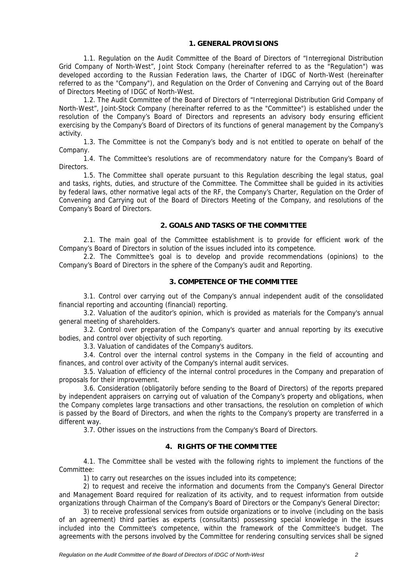#### **1. GENERAL PROVISIONS**

1.1. Regulation on the Audit Committee of the Board of Directors of "Interregional Distribution Grid Company of North-West", Joint Stock Company (hereinafter referred to as the "Regulation") was developed according to the Russian Federation laws, the Charter of IDGC of North-West (hereinafter referred to as the "Company"), and Regulation on the Order of Convening and Carrying out of the Board of Directors Meeting of IDGC of North-West.

1.2. The Audit Committee of the Board of Directors of "Interregional Distribution Grid Company of North-West", Joint-Stock Company (hereinafter referred to as the "Committee") is established under the resolution of the Company's Board of Directors and represents an advisory body ensuring efficient exercising by the Company's Board of Directors of its functions of general management by the Company's activity.

1.3. The Committee is not the Company's body and is not entitled to operate on behalf of the Company.

1.4. The Committee's resolutions are of recommendatory nature for the Company's Board of Directors.

1.5. The Committee shall operate pursuant to this Regulation describing the legal status, goal and tasks, rights, duties, and structure of the Committee. The Committee shall be guided in its activities by federal laws, other normative legal acts of the RF, the Company's Charter, Regulation on the Order of Convening and Carrying out of the Board of Directors Meeting of the Company, and resolutions of the Company's Board of Directors.

### **2. GOALS AND TASKS OF THE COMMITTEE**

2.1. The main goal of the Committee establishment is to provide for efficient work of the Company's Board of Directors in solution of the issues included into its competence.

2.2. The Committee's goal is to develop and provide recommendations (opinions) to the Company's Board of Directors in the sphere of the Company's audit and Reporting.

#### **3. COMPETENCE OF THE COMMITTEE**

3.1. Control over carrying out of the Company's annual independent audit of the consolidated financial reporting and accounting (financial) reporting.

3.2. Valuation of the auditor's opinion, which is provided as materials for the Company's annual general meeting of shareholders.

3.2. Control over preparation of the Company's quarter and annual reporting by its executive bodies, and control over objectivity of such reporting.

3.3. Valuation of candidates of the Company's auditors.

3.4. Control over the internal control systems in the Company in the field of accounting and finances, and control over activity of the Company's internal audit services.

3.5. Valuation of efficiency of the internal control procedures in the Company and preparation of proposals for their improvement.

3.6. Consideration (obligatorily before sending to the Board of Directors) of the reports prepared by independent appraisers on carrying out of valuation of the Company's property and obligations, when the Company completes large transactions and other transactions, the resolution on completion of which is passed by the Board of Directors, and when the rights to the Company's property are transferred in a different way.

3.7. Other issues on the instructions from the Company's Board of Directors.

#### **4. RIGHTS OF THE COMMITTEE**

4.1. The Committee shall be vested with the following rights to implement the functions of the Committee:

1) to carry out researches on the issues included into its competence;

2) to request and receive the information and documents from the Company's General Director and Management Board required for realization of its activity, and to request information from outside organizations through Chairman of the Company's Board of Directors or the Company's General Director;

3) to receive professional services from outside organizations or to involve (including on the basis of an agreement) third parties as experts (consultants) possessing special knowledge in the issues included into the Committee's competence, within the framework of the Committee's budget. The agreements with the persons involved by the Committee for rendering consulting services shall be signed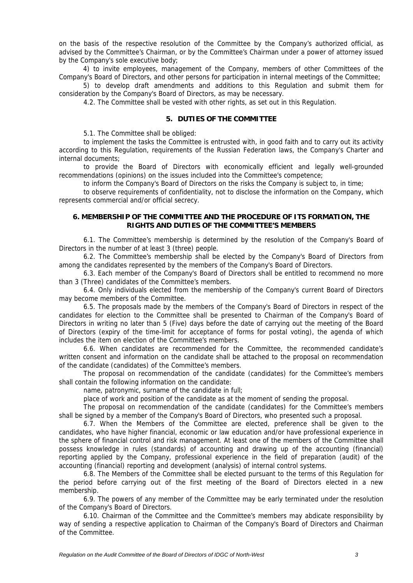on the basis of the respective resolution of the Committee by the Company's authorized official, as advised by the Committee's Chairman, or by the Committee's Chairman under a power of attorney issued by the Company's sole executive body;

4) to invite employees, management of the Company, members of other Committees of the Company's Board of Directors, and other persons for participation in internal meetings of the Committee;

5) to develop draft amendments and additions to this Regulation and submit them for consideration by the Company's Board of Directors, as may be necessary.

4.2. The Committee shall be vested with other rights, as set out in this Regulation.

#### **5. DUTIES OF THE COMMITTEE**

5.1. The Committee shall be obliged:

to implement the tasks the Committee is entrusted with, in good faith and to carry out its activity according to this Regulation, requirements of the Russian Federation laws, the Company's Charter and internal documents;

to provide the Board of Directors with economically efficient and legally well-grounded recommendations (opinions) on the issues included into the Committee's competence;

to inform the Company's Board of Directors on the risks the Company is subject to, in time;

to observe requirements of confidentiality, not to disclose the information on the Company, which represents commercial and/or official secrecy.

#### **6. MEMBERSHIP OF THE COMMITTEE AND THE PROCEDURE OF ITS FORMATION, THE RIGHTS AND DUTIES OF THE COMMITTEE'S MEMBERS**

6.1. The Committee's membership is determined by the resolution of the Company's Board of Directors in the number of at least 3 (three) people.

6.2. The Committee's membership shall be elected by the Company's Board of Directors from among the candidates represented by the members of the Company's Board of Directors.

6.3. Each member of the Company's Board of Directors shall be entitled to recommend no more than 3 (Three) candidates of the Committee's members.

6.4. Only individuals elected from the membership of the Company's current Board of Directors may become members of the Committee.

6.5. The proposals made by the members of the Company's Board of Directors in respect of the candidates for election to the Committee shall be presented to Chairman of the Company's Board of Directors in writing no later than 5 (Five) days before the date of carrying out the meeting of the Board of Directors (expiry of the time-limit for acceptance of forms for postal voting), the agenda of which includes the item on election of the Committee's members.

6.6. When candidates are recommended for the Committee, the recommended candidate's written consent and information on the candidate shall be attached to the proposal on recommendation of the candidate (candidates) of the Committee's members.

The proposal on recommendation of the candidate (candidates) for the Committee's members shall contain the following information on the candidate:

name, patronymic, surname of the candidate in full;

place of work and position of the candidate as at the moment of sending the proposal.

The proposal on recommendation of the candidate (candidates) for the Committee's members shall be signed by a member of the Company's Board of Directors, who presented such a proposal.

6.7. When the Members of the Committee are elected, preference shall be given to the candidates, who have higher financial, economic or law education and/or have professional experience in the sphere of financial control and risk management. At least one of the members of the Committee shall possess knowledge in rules (standards) of accounting and drawing up of the accounting (financial) reporting applied by the Company, professional experience in the field of preparation (audit) of the accounting (financial) reporting and development (analysis) of internal control systems.

6.8. The Members of the Committee shall be elected pursuant to the terms of this Regulation for the period before carrying out of the first meeting of the Board of Directors elected in a new membership.

6.9. The powers of any member of the Committee may be early terminated under the resolution of the Company's Board of Directors.

6.10. Chairman of the Committee and the Committee's members may abdicate responsibility by way of sending a respective application to Chairman of the Company's Board of Directors and Chairman of the Committee.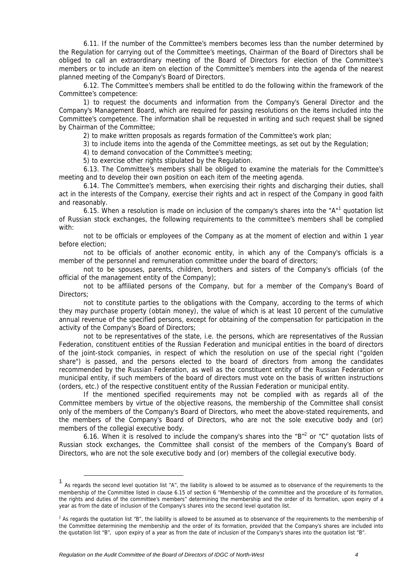6.11. If the number of the Committee's members becomes less than the number determined by the Regulation for carrying out of the Committee's meetings, Chairman of the Board of Directors shall be obliged to call an extraordinary meeting of the Board of Directors for election of the Committee's members or to include an item on election of the Committee's members into the agenda of the nearest planned meeting of the Company's Board of Directors.

6.12. The Committee's members shall be entitled to do the following within the framework of the Committee's competence:

1) to request the documents and information from the Company's General Director and the Company's Management Board, which are required for passing resolutions on the items included into the Committee's competence. The information shall be requested in writing and such request shall be signed by Chairman of the Committee;

2) to make written proposals as regards formation of the Committee's work plan;

3) to include items into the agenda of the Committee meetings, as set out by the Regulation;

4) to demand convocation of the Committee's meeting;

5) to exercise other rights stipulated by the Regulation.

6.13. The Committee's members shall be obliged to examine the materials for the Committee's meeting and to develop their own position on each item of the meeting agenda.

6.14. The Committee's members, when exercising their rights and discharging their duties, shall act in the interests of the Company, exercise their rights and act in respect of the Company in good faith and reasonably.

6.15. When a resolution is made on inclusion of the company's shares into the "A"<sup>1</sup> quotation list of Russian stock exchanges, the following requirements to the committee's members shall be complied with:

not to be officials or employees of the Company as at the moment of election and within 1 year before election;

not to be officials of another economic entity, in which any of the Company's officials is a member of the personnel and remuneration committee under the board of directors;

not to be spouses, parents, children, brothers and sisters of the Company's officials (of the official of the management entity of the Company);

not to be affiliated persons of the Company, but for a member of the Company's Board of Directors;

not to constitute parties to the obligations with the Company, according to the terms of which they may purchase property (obtain money), the value of which is at least 10 percent of the cumulative annual revenue of the specified persons, except for obtaining of the compensation for participation in the activity of the Company's Board of Directors;

not to be representatives of the state, i.e. the persons, which are representatives of the Russian Federation, constituent entities of the Russian Federation and municipal entities in the board of directors of the joint-stock companies, in respect of which the resolution on use of the special right ("golden share") is passed, and the persons elected to the board of directors from among the candidates recommended by the Russian Federation, as well as the constituent entity of the Russian Federation or municipal entity, if such members of the board of directors must vote on the basis of written instructions (orders, etc.) of the respective constituent entity of the Russian Federation or municipal entity.

If the mentioned specified requirements may not be complied with as regards all of the Committee members by virtue of the objective reasons, the membership of the Committee shall consist only of the members of the Company's Board of Directors, who meet the above-stated requirements, and the members of the Company's Board of Directors, who are not the sole executive body and (or) members of the collegial executive body.

6.16. When it is resolved to include the company's shares into the "B"<sup>2</sup> or "C" quotation lists of Russian stock exchanges, the Committee shall consist of the members of the Company's Board of Directors, who are not the sole executive body and (or) members of the collegial executive body.

 <sup>1</sup> As regards the second level quotation list "A", the liability is allowed to be assumed as to observance of the requirements to the membership of the Committee listed in clause 6.15 of section 6 "Membership of the committee and the procedure of its formation, the rights and duties of the committee's members" determining the membership and the order of its formation, upon expiry of a year as from the date of inclusion of the Company's shares into the second level quotation list.

 $2$  As regards the quotation list "B", the liability is allowed to be assumed as to observance of the requirements to the membership of the Committee determining the membership and the order of its formation, provided that the Company's shares are included into the quotation list "B", upon expiry of a year as from the date of inclusion of the Company's shares into the quotation list "B".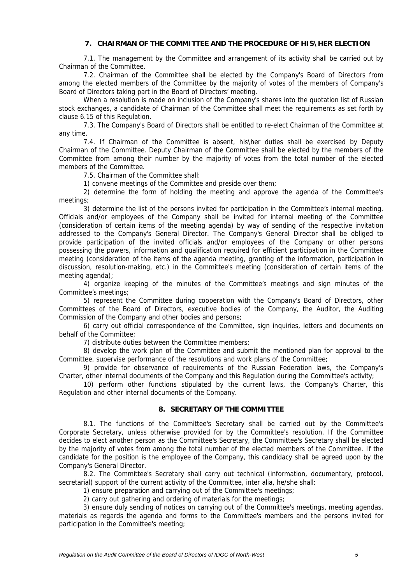### **7. CHAIRMAN OF THE COMMITTEE AND THE PROCEDURE OF HIS\HER ELECTION**

7.1. The management by the Committee and arrangement of its activity shall be carried out by Chairman of the Committee.

7.2. Chairman of the Committee shall be elected by the Company's Board of Directors from among the elected members of the Committee by the majority of votes of the members of Company's Board of Directors taking part in the Board of Directors' meeting.

When a resolution is made on inclusion of the Company's shares into the quotation list of Russian stock exchanges, a candidate of Chairman of the Committee shall meet the requirements as set forth by clause 6.15 of this Regulation.

7.3. The Company's Board of Directors shall be entitled to re-elect Chairman of the Committee at any time.

7.4. If Chairman of the Committee is absent, his\her duties shall be exercised by Deputy Chairman of the Committee. Deputy Chairman of the Committee shall be elected by the members of the Committee from among their number by the majority of votes from the total number of the elected members of the Committee.

7.5. Chairman of the Committee shall:

1) convene meetings of the Committee and preside over them;

2) determine the form of holding the meeting and approve the agenda of the Committee's meetings;

3) determine the list of the persons invited for participation in the Committee's internal meeting. Officials and/or employees of the Company shall be invited for internal meeting of the Committee (consideration of certain items of the meeting agenda) by way of sending of the respective invitation addressed to the Company's General Director. The Company's General Director shall be obliged to provide participation of the invited officials and/or employees of the Company or other persons possessing the powers, information and qualification required for efficient participation in the Committee meeting (consideration of the items of the agenda meeting, granting of the information, participation in discussion, resolution-making, etc.) in the Committee's meeting (consideration of certain items of the meeting agenda);

4) organize keeping of the minutes of the Committee's meetings and sign minutes of the Committee's meetings;

5) represent the Committee during cooperation with the Company's Board of Directors, other Committees of the Board of Directors, executive bodies of the Company, the Auditor, the Auditing Commission of the Company and other bodies and persons;

6) carry out official correspondence of the Committee, sign inquiries, letters and documents on behalf of the Committee;

7) distribute duties between the Committee members;

8) develop the work plan of the Committee and submit the mentioned plan for approval to the Committee, supervise performance of the resolutions and work plans of the Committee;

9) provide for observance of requirements of the Russian Federation laws, the Company's Charter, other internal documents of the Company and this Regulation during the Committee's activity;

10) perform other functions stipulated by the current laws, the Company's Charter, this Regulation and other internal documents of the Company.

#### **8. SECRETARY OF THE COMMITTEE**

8.1. The functions of the Committee's Secretary shall be carried out by the Committee's Corporate Secretary, unless otherwise provided for by the Committee's resolution. If the Committee decides to elect another person as the Committee's Secretary, the Committee's Secretary shall be elected by the majority of votes from among the total number of the elected members of the Committee. If the candidate for the position is the employee of the Company, this candidacy shall be agreed upon by the Company's General Director.

8.2. The Committee's Secretary shall carry out technical (information, documentary, protocol, secretarial) support of the current activity of the Committee, inter alia, he/she shall:

1) ensure preparation and carrying out of the Committee's meetings;

2) carry out gathering and ordering of materials for the meetings;

3) ensure duly sending of notices on carrying out of the Committee's meetings, meeting agendas, materials as regards the agenda and forms to the Committee's members and the persons invited for participation in the Committee's meeting;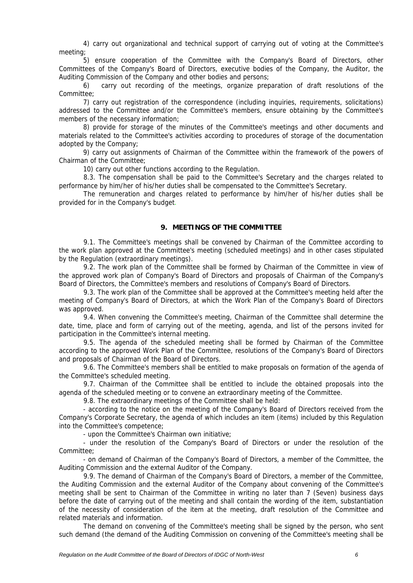4) carry out organizational and technical support of carrying out of voting at the Committee's meeting;

5) ensure cooperation of the Committee with the Company's Board of Directors, other Committees of the Company's Board of Directors, executive bodies of the Company, the Auditor, the Auditing Commission of the Company and other bodies and persons;

6) carry out recording of the meetings, organize preparation of draft resolutions of the Committee;

7) carry out registration of the correspondence (including inquiries, requirements, solicitations) addressed to the Committee and/or the Committee's members, ensure obtaining by the Committee's members of the necessary information;

8) provide for storage of the minutes of the Committee's meetings and other documents and materials related to the Committee's activities according to procedures of storage of the documentation adopted by the Company;

9) carry out assignments of Chairman of the Committee within the framework of the powers of Chairman of the Committee;

10) carry out other functions according to the Regulation.

8.3. The compensation shall be paid to the Committee's Secretary and the charges related to performance by him/her of his/her duties shall be compensated to the Committee's Secretary.

The remuneration and charges related to performance by him/her of his/her duties shall be provided for in the Company's budget.

#### **9. MEETINGS OF THE COMMITTEE**

9.1. The Committee's meetings shall be convened by Chairman of the Committee according to the work plan approved at the Committee's meeting (scheduled meetings) and in other cases stipulated by the Regulation (extraordinary meetings).

9.2. The work plan of the Committee shall be formed by Chairman of the Committee in view of the approved work plan of Company's Board of Directors and proposals of Chairman of the Company's Board of Directors, the Committee's members and resolutions of Company's Board of Directors.

9.3. The work plan of the Committee shall be approved at the Committee's meeting held after the meeting of Company's Board of Directors, at which the Work Plan of the Company's Board of Directors was approved.

9.4. When convening the Committee's meeting, Chairman of the Committee shall determine the date, time, place and form of carrying out of the meeting, agenda, and list of the persons invited for participation in the Committee's internal meeting.

9.5. The agenda of the scheduled meeting shall be formed by Chairman of the Committee according to the approved Work Plan of the Committee, resolutions of the Company's Board of Directors and proposals of Chairman of the Board of Directors.

9.6. The Committee's members shall be entitled to make proposals on formation of the agenda of the Committee's scheduled meeting.

9.7. Chairman of the Committee shall be entitled to include the obtained proposals into the agenda of the scheduled meeting or to convene an extraordinary meeting of the Committee.

9.8. The extraordinary meetings of the Committee shall be held:

- according to the notice on the meeting of the Company's Board of Directors received from the Company's Corporate Secretary, the agenda of which includes an item (items) included by this Regulation into the Committee's competence;

- upon the Committee's Chairman own initiative;

- under the resolution of the Company's Board of Directors or under the resolution of the Committee;

- on demand of Chairman of the Company's Board of Directors, a member of the Committee, the Auditing Commission and the external Auditor of the Company.

9.9. The demand of Chairman of the Company's Board of Directors, a member of the Committee, the Auditing Commission and the external Auditor of the Company about convening of the Committee's meeting shall be sent to Chairman of the Committee in writing no later than 7 (Seven) business days before the date of carrying out of the meeting and shall contain the wording of the item, substantiation of the necessity of consideration of the item at the meeting, draft resolution of the Committee and related materials and information.

The demand on convening of the Committee's meeting shall be signed by the person, who sent such demand (the demand of the Auditing Commission on convening of the Committee's meeting shall be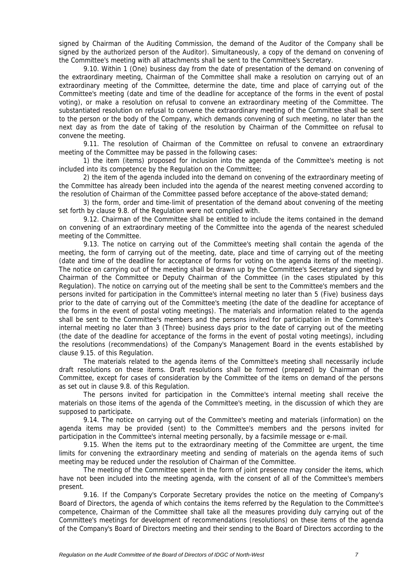signed by Chairman of the Auditing Commission, the demand of the Auditor of the Company shall be signed by the authorized person of the Auditor). Simultaneously, a copy of the demand on convening of the Committee's meeting with all attachments shall be sent to the Committee's Secretary.

9.10. Within 1 (One) business day from the date of presentation of the demand on convening of the extraordinary meeting, Chairman of the Committee shall make a resolution on carrying out of an extraordinary meeting of the Committee, determine the date, time and place of carrying out of the Committee's meeting (date and time of the deadline for acceptance of the forms in the event of postal voting), or make a resolution on refusal to convene an extraordinary meeting of the Committee. The substantiated resolution on refusal to convene the extraordinary meeting of the Committee shall be sent to the person or the body of the Company, which demands convening of such meeting, no later than the next day as from the date of taking of the resolution by Chairman of the Committee on refusal to convene the meeting.

9.11. The resolution of Chairman of the Committee on refusal to convene an extraordinary meeting of the Committee may be passed in the following cases:

1) the item (items) proposed for inclusion into the agenda of the Committee's meeting is not included into its competence by the Regulation on the Committee;

2) the item of the agenda included into the demand on convening of the extraordinary meeting of the Committee has already been included into the agenda of the nearest meeting convened according to the resolution of Chairman of the Committee passed before acceptance of the above-stated demand;

3) the form, order and time-limit of presentation of the demand about convening of the meeting set forth by clause 9.8. of the Regulation were not complied with.

9.12. Chairman of the Committee shall be entitled to include the items contained in the demand on convening of an extraordinary meeting of the Committee into the agenda of the nearest scheduled meeting of the Committee.

9.13. The notice on carrying out of the Committee's meeting shall contain the agenda of the meeting, the form of carrying out of the meeting, date, place and time of carrying out of the meeting (date and time of the deadline for acceptance of forms for voting on the agenda items of the meeting). The notice on carrying out of the meeting shall be drawn up by the Committee's Secretary and signed by Chairman of the Committee or Deputy Chairman of the Committee (in the cases stipulated by this Regulation). The notice on carrying out of the meeting shall be sent to the Committee's members and the persons invited for participation in the Committee's internal meeting no later than 5 (Five) business days prior to the date of carrying out of the Committee's meeting (the date of the deadline for acceptance of the forms in the event of postal voting meetings). The materials and information related to the agenda shall be sent to the Committee's members and the persons invited for participation in the Committee's internal meeting no later than 3 (Three) business days prior to the date of carrying out of the meeting (the date of the deadline for acceptance of the forms in the event of postal voting meetings), including the resolutions (recommendations) of the Company's Management Board in the events established by clause 9.15. of this Regulation.

The materials related to the agenda items of the Committee's meeting shall necessarily include draft resolutions on these items. Draft resolutions shall be formed (prepared) by Chairman of the Committee, except for cases of consideration by the Committee of the items on demand of the persons as set out in clause 9.8. of this Regulation.

The persons invited for participation in the Committee's internal meeting shall receive the materials on those items of the agenda of the Committee's meeting, in the discussion of which they are supposed to participate.

9.14. The notice on carrying out of the Committee's meeting and materials (information) on the agenda items may be provided (sent) to the Committee's members and the persons invited for participation in the Committee's internal meeting personally, by a facsimile message or e-mail.

9.15. When the items put to the extraordinary meeting of the Committee are urgent, the time limits for convening the extraordinary meeting and sending of materials on the agenda items of such meeting may be reduced under the resolution of Chairman of the Committee.

The meeting of the Committee spent in the form of joint presence may consider the items, which have not been included into the meeting agenda, with the consent of all of the Committee's members present.

9.16. If the Company's Corporate Secretary provides the notice on the meeting of Company's Board of Directors, the agenda of which contains the items referred by the Regulation to the Committee's competence, Chairman of the Committee shall take all the measures providing duly carrying out of the Committee's meetings for development of recommendations (resolutions) on these items of the agenda of the Company's Board of Directors meeting and their sending to the Board of Directors according to the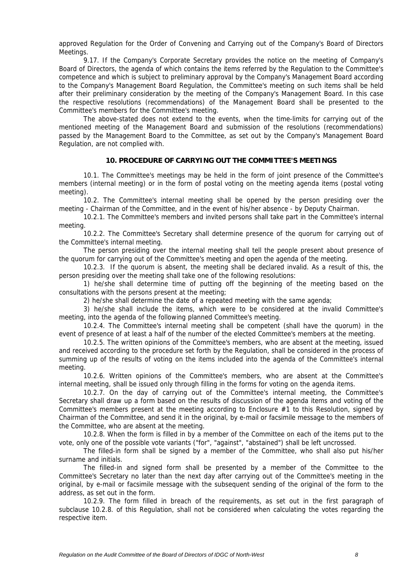approved Regulation for the Order of Convening and Carrying out of the Company's Board of Directors Meetings.

9.17. If the Company's Corporate Secretary provides the notice on the meeting of Company's Board of Directors, the agenda of which contains the items referred by the Regulation to the Committee's competence and which is subject to preliminary approval by the Company's Management Board according to the Company's Management Board Regulation, the Committee's meeting on such items shall be held after their preliminary consideration by the meeting of the Company's Management Board. In this case the respective resolutions (recommendations) of the Management Board shall be presented to the Committee's members for the Committee's meeting.

The above-stated does not extend to the events, when the time-limits for carrying out of the mentioned meeting of the Management Board and submission of the resolutions (recommendations) passed by the Management Board to the Committee, as set out by the Company's Management Board Regulation, are not complied with.

#### **10. PROCEDURE OF CARRYING OUT THE COMMITTEE'S MEETINGS**

10.1. The Committee's meetings may be held in the form of joint presence of the Committee's members (internal meeting) or in the form of postal voting on the meeting agenda items (postal voting meeting).

10.2. The Committee's internal meeting shall be opened by the person presiding over the meeting - Chairman of the Committee, and in the event of his/her absence - by Deputy Chairman.

10.2.1. The Committee's members and invited persons shall take part in the Committee's internal meeting.

10.2.2. The Committee's Secretary shall determine presence of the quorum for carrying out of the Committee's internal meeting.

The person presiding over the internal meeting shall tell the people present about presence of the quorum for carrying out of the Committee's meeting and open the agenda of the meeting.

10.2.3. If the quorum is absent, the meeting shall be declared invalid. As a result of this, the person presiding over the meeting shall take one of the following resolutions:

1) he/she shall determine time of putting off the beginning of the meeting based on the consultations with the persons present at the meeting;

2) he/she shall determine the date of a repeated meeting with the same agenda;

3) he/she shall include the items, which were to be considered at the invalid Committee's meeting, into the agenda of the following planned Committee's meeting.

10.2.4. The Committee's internal meeting shall be competent (shall have the quorum) in the event of presence of at least a half of the number of the elected Committee's members at the meeting.

10.2.5. The written opinions of the Committee's members, who are absent at the meeting, issued and received according to the procedure set forth by the Regulation, shall be considered in the process of summing up of the results of voting on the items included into the agenda of the Committee's internal meeting.

10.2.6. Written opinions of the Committee's members, who are absent at the Committee's internal meeting, shall be issued only through filling in the forms for voting on the agenda items.

10.2.7. On the day of carrying out of the Committee's internal meeting, the Committee's Secretary shall draw up a form based on the results of discussion of the agenda items and voting of the Committee's members present at the meeting according to Enclosure  $#1$  to this Resolution, signed by Chairman of the Committee, and send it in the original, by e-mail or facsimile message to the members of the Committee, who are absent at the meeting.

10.2.8. When the form is filled in by a member of the Committee on each of the items put to the vote, only one of the possible vote variants ("for", "against", "abstained") shall be left uncrossed.

The filled-in form shall be signed by a member of the Committee, who shall also put his/her surname and initials.

The filled-in and signed form shall be presented by a member of the Committee to the Committee's Secretary no later than the next day after carrying out of the Committee's meeting in the original, by e-mail or facsimile message with the subsequent sending of the original of the form to the address, as set out in the form.

10.2.9. The form filled in breach of the requirements, as set out in the first paragraph of subclause 10.2.8. of this Regulation, shall not be considered when calculating the votes regarding the respective item.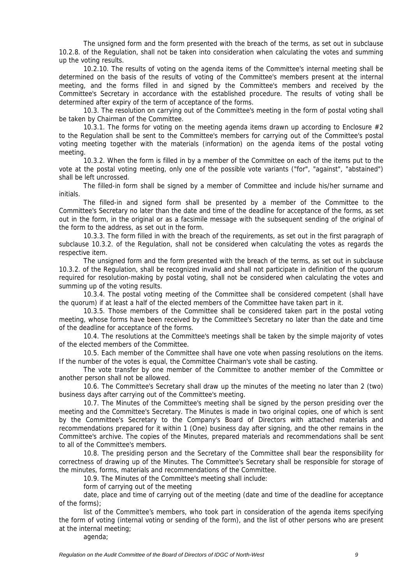The unsigned form and the form presented with the breach of the terms, as set out in subclause 10.2.8. of the Regulation, shall not be taken into consideration when calculating the votes and summing up the voting results.

10.2.10. The results of voting on the agenda items of the Committee's internal meeting shall be determined on the basis of the results of voting of the Committee's members present at the internal meeting, and the forms filled in and signed by the Committee's members and received by the Committee's Secretary in accordance with the established procedure. The results of voting shall be determined after expiry of the term of acceptance of the forms.

10.3. The resolution on carrying out of the Committee's meeting in the form of postal voting shall be taken by Chairman of the Committee.

10.3.1. The forms for voting on the meeting agenda items drawn up according to Enclosure  $#2$ to the Regulation shall be sent to the Committee's members for carrying out of the Committee's postal voting meeting together with the materials (information) on the agenda items of the postal voting meeting.

10.3.2. When the form is filled in by a member of the Committee on each of the items put to the vote at the postal voting meeting, only one of the possible vote variants ("for", "against", "abstained") shall be left uncrossed.

The filled-in form shall be signed by a member of Committee and include his/her surname and initials.

The filled-in and signed form shall be presented by a member of the Committee to the Committee's Secretary no later than the date and time of the deadline for acceptance of the forms, as set out in the form, in the original or as a facsimile message with the subsequent sending of the original of the form to the address, as set out in the form.

10.3.3. The form filled in with the breach of the requirements, as set out in the first paragraph of subclause 10.3.2. of the Regulation, shall not be considered when calculating the votes as regards the respective item.

The unsigned form and the form presented with the breach of the terms, as set out in subclause 10.3.2. of the Regulation, shall be recognized invalid and shall not participate in definition of the quorum required for resolution-making by postal voting, shall not be considered when calculating the votes and summing up of the voting results.

10.3.4. The postal voting meeting of the Committee shall be considered competent (shall have the quorum) if at least a half of the elected members of the Committee have taken part in it.

10.3.5. Those members of the Committee shall be considered taken part in the postal voting meeting, whose forms have been received by the Committee's Secretary no later than the date and time of the deadline for acceptance of the forms.

10.4. The resolutions at the Committee's meetings shall be taken by the simple majority of votes of the elected members of the Committee.

10.5. Each member of the Committee shall have one vote when passing resolutions on the items. If the number of the votes is equal, the Committee Chairman's vote shall be casting.

The vote transfer by one member of the Committee to another member of the Committee or another person shall not be allowed.

10.6. The Committee's Secretary shall draw up the minutes of the meeting no later than 2 (two) business days after carrying out of the Committee's meeting.

10.7. The Minutes of the Committee's meeting shall be signed by the person presiding over the meeting and the Committee's Secretary. The Minutes is made in two original copies, one of which is sent by the Committee's Secretary to the Company's Board of Directors with attached materials and recommendations prepared for it within 1 (One) business day after signing, and the other remains in the Committee's archive. The copies of the Minutes, prepared materials and recommendations shall be sent to all of the Committee's members.

10.8. The presiding person and the Secretary of the Committee shall bear the responsibility for correctness of drawing up of the Minutes. The Committee's Secretary shall be responsible for storage of the minutes, forms, materials and recommendations of the Committee.

10.9. The Minutes of the Committee's meeting shall include:

form of carrying out of the meeting

date, place and time of carrying out of the meeting (date and time of the deadline for acceptance of the forms);

list of the Committee's members, who took part in consideration of the agenda items specifying the form of voting (internal voting or sending of the form), and the list of other persons who are present at the internal meeting;

agenda;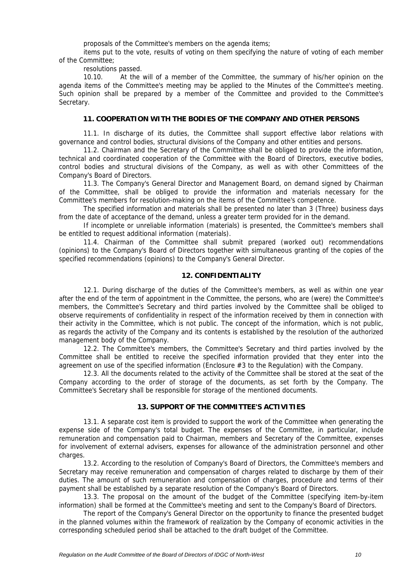proposals of the Committee's members on the agenda items;

items put to the vote, results of voting on them specifying the nature of voting of each member of the Committee;

resolutions passed.

10.10. At the will of a member of the Committee, the summary of his/her opinion on the agenda items of the Committee's meeting may be applied to the Minutes of the Committee's meeting. Such opinion shall be prepared by a member of the Committee and provided to the Committee's Secretary.

#### **11. COOPERATION WITH THE BODIES OF THE COMPANY AND OTHER PERSONS**

11.1. In discharge of its duties, the Committee shall support effective labor relations with governance and control bodies, structural divisions of the Company and other entities and persons.

11.2. Chairman and the Secretary of the Committee shall be obliged to provide the information, technical and coordinated cooperation of the Committee with the Board of Directors, executive bodies, control bodies and structural divisions of the Company, as well as with other Committees of the Company's Board of Directors.

11.3. The Company's General Director and Management Board, on demand signed by Chairman of the Committee, shall be obliged to provide the information and materials necessary for the Committee's members for resolution-making on the items of the Committee's competence.

The specified information and materials shall be presented no later than 3 (Three) business days from the date of acceptance of the demand, unless a greater term provided for in the demand.

If incomplete or unreliable information (materials) is presented, the Committee's members shall be entitled to request additional information (materials).

11.4. Chairman of the Committee shall submit prepared (worked out) recommendations (opinions) to the Company's Board of Directors together with simultaneous granting of the copies of the specified recommendations (opinions) to the Company's General Director.

#### **12. CONFIDENTIALITY**

12.1. During discharge of the duties of the Committee's members, as well as within one year after the end of the term of appointment in the Committee, the persons, who are (were) the Committee's members, the Committee's Secretary and third parties involved by the Committee shall be obliged to observe requirements of confidentiality in respect of the information received by them in connection with their activity in the Committee, which is not public. The concept of the information, which is not public, as regards the activity of the Company and its contents is established by the resolution of the authorized management body of the Company.

12.2. The Committee's members, the Committee's Secretary and third parties involved by the Committee shall be entitled to receive the specified information provided that they enter into the agreement on use of the specified information (Enclosure #3 to the Regulation) with the Company.

12.3. All the documents related to the activity of the Committee shall be stored at the seat of the Company according to the order of storage of the documents, as set forth by the Company. The Committee's Secretary shall be responsible for storage of the mentioned documents.

#### **13. SUPPORT OF THE COMMITTEE'S ACTIVITIES**

13.1. A separate cost item is provided to support the work of the Committee when generating the expense side of the Company's total budget. The expenses of the Committee, in particular, include remuneration and compensation paid to Chairman, members and Secretary of the Committee, expenses for involvement of external advisers, expenses for allowance of the administration personnel and other charges.

13.2. According to the resolution of Company's Board of Directors, the Committee's members and Secretary may receive remuneration and compensation of charges related to discharge by them of their duties. The amount of such remuneration and compensation of charges, procedure and terms of their payment shall be established by a separate resolution of the Company's Board of Directors.

13.3. The proposal on the amount of the budget of the Committee (specifying item-by-item information) shall be formed at the Committee's meeting and sent to the Company's Board of Directors.

The report of the Company's General Director on the opportunity to finance the presented budget in the planned volumes within the framework of realization by the Company of economic activities in the corresponding scheduled period shall be attached to the draft budget of the Committee.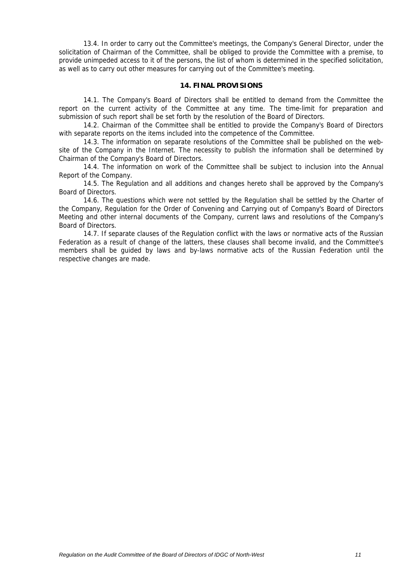13.4. In order to carry out the Committee's meetings, the Company's General Director, under the solicitation of Chairman of the Committee, shall be obliged to provide the Committee with a premise, to provide unimpeded access to it of the persons, the list of whom is determined in the specified solicitation, as well as to carry out other measures for carrying out of the Committee's meeting.

#### **14. FINAL PROVISIONS**

14.1. The Company's Board of Directors shall be entitled to demand from the Committee the report on the current activity of the Committee at any time. The time-limit for preparation and submission of such report shall be set forth by the resolution of the Board of Directors.

14.2. Chairman of the Committee shall be entitled to provide the Company's Board of Directors with separate reports on the items included into the competence of the Committee.

14.3. The information on separate resolutions of the Committee shall be published on the website of the Company in the Internet. The necessity to publish the information shall be determined by Chairman of the Company's Board of Directors.

14.4. The information on work of the Committee shall be subject to inclusion into the Annual Report of the Company.

14.5. The Regulation and all additions and changes hereto shall be approved by the Company's Board of Directors.

14.6. The questions which were not settled by the Regulation shall be settled by the Charter of the Company, Regulation for the Order of Convening and Carrying out of Company's Board of Directors Meeting and other internal documents of the Company, current laws and resolutions of the Company's Board of Directors.

14.7. If separate clauses of the Regulation conflict with the laws or normative acts of the Russian Federation as a result of change of the latters, these clauses shall become invalid, and the Committee's members shall be guided by laws and by-laws normative acts of the Russian Federation until the respective changes are made.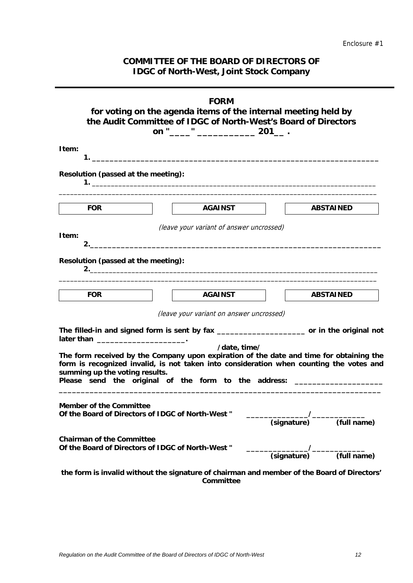# **COMMITTEE OF THE BOARD OF DIRECTORS OF IDGC of North-West, Joint Stock Company**

| <b>FORM</b>                                                                                                                                                                                                                                                                                                              |  |  |
|--------------------------------------------------------------------------------------------------------------------------------------------------------------------------------------------------------------------------------------------------------------------------------------------------------------------------|--|--|
| for voting on the agenda items of the internal meeting held by<br>the Audit Committee of IDGC of North-West's Board of Directors<br>on "_____" _________________ 201___ .                                                                                                                                                |  |  |
| Item:                                                                                                                                                                                                                                                                                                                    |  |  |
| Resolution (passed at the meeting):                                                                                                                                                                                                                                                                                      |  |  |
| <b>AGAINST</b><br><b>ABSTAINED</b><br><b>FOR</b>                                                                                                                                                                                                                                                                         |  |  |
| (leave your variant of answer uncrossed)<br>Item:                                                                                                                                                                                                                                                                        |  |  |
| Resolution (passed at the meeting):                                                                                                                                                                                                                                                                                      |  |  |
| <b>AGAINST</b><br><b>ABSTAINED</b><br><b>FOR</b>                                                                                                                                                                                                                                                                         |  |  |
| (leave your variant on answer uncrossed)                                                                                                                                                                                                                                                                                 |  |  |
| The filled-in and signed form is sent by fax ________________________ or in the original not<br>later than _________________________________.                                                                                                                                                                            |  |  |
| /date, time/<br>The form received by the Company upon expiration of the date and time for obtaining the<br>form is recognized invalid, is not taken into consideration when counting the votes and<br>summing up the voting results.<br>Please send the original of the form to the address: ___________________________ |  |  |
| <b>Member of the Committee</b><br>Of the Board of Directors of IDGC of North-West "<br>$T$ (full name)<br>(signature)                                                                                                                                                                                                    |  |  |
| <b>Chairman of the Committee</b><br>Of the Board of Directors of IDGC of North-West "                                                                                                                                                                                                                                    |  |  |
| the form is invalid without the signature of chairman and member of the Board of Directors'<br>Committee                                                                                                                                                                                                                 |  |  |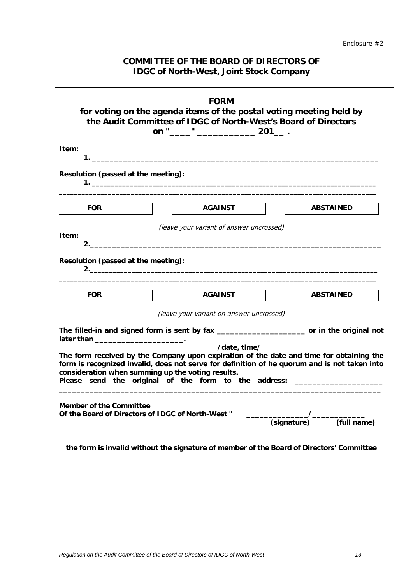# **COMMITTEE OF THE BOARD OF DIRECTORS OF IDGC of North-West, Joint Stock Company**

|                                                                                                                                                                                | <b>FORM</b>                                                                                                                                                                                                                                                                                 |  |
|--------------------------------------------------------------------------------------------------------------------------------------------------------------------------------|---------------------------------------------------------------------------------------------------------------------------------------------------------------------------------------------------------------------------------------------------------------------------------------------|--|
| for voting on the agenda items of the postal voting meeting held by<br>the Audit Committee of IDGC of North-West's Board of Directors<br>." _________________ 201___ .<br>on " |                                                                                                                                                                                                                                                                                             |  |
| Item:                                                                                                                                                                          |                                                                                                                                                                                                                                                                                             |  |
| Resolution (passed at the meeting):                                                                                                                                            |                                                                                                                                                                                                                                                                                             |  |
| <b>FOR</b>                                                                                                                                                                     | <b>AGAINST</b><br><b>ABSTAINED</b>                                                                                                                                                                                                                                                          |  |
| Item:<br>2.                                                                                                                                                                    | (leave your variant of answer uncrossed)                                                                                                                                                                                                                                                    |  |
| Resolution (passed at the meeting):                                                                                                                                            |                                                                                                                                                                                                                                                                                             |  |
| <b>FOR</b>                                                                                                                                                                     | <b>AGAINST</b><br><b>ABSTAINED</b>                                                                                                                                                                                                                                                          |  |
|                                                                                                                                                                                | (leave your variant on answer uncrossed)                                                                                                                                                                                                                                                    |  |
| later than __________________________.                                                                                                                                         | The filled-in and signed form is sent by fax ______________________ or in the original not                                                                                                                                                                                                  |  |
| consideration when summing up the voting results.                                                                                                                              | /date, time/<br>The form received by the Company upon expiration of the date and time for obtaining the<br>form is recognized invalid, does not serve for definition of he quorum and is not taken into<br>Please send the original of the form to the address: ___________________________ |  |
| <b>Member of the Committee</b><br>Of the Board of Directors of IDGC of North-West "                                                                                            | (full name)<br>(signature)                                                                                                                                                                                                                                                                  |  |

**the form is invalid without the signature of member of the Board of Directors' Committee**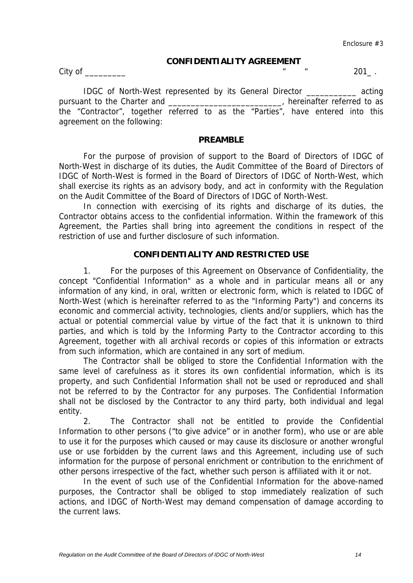## **CONFIDENTIALITY AGREEMENT**

City of \_\_\_\_\_\_\_\_\_ " " 201\_ .

IDGC of North-West represented by its General Director \_\_\_\_\_\_\_\_\_\_\_ acting pursuant to the Charter and \_\_\_\_\_\_\_\_\_\_\_\_\_\_\_\_\_\_\_\_\_\_\_\_, hereinafter referred to as the "Contractor", together referred to as the "Parties", have entered into this agreement on the following:

## **PREAMBLE**

For the purpose of provision of support to the Board of Directors of IDGC of North-West in discharge of its duties, the Audit Committee of the Board of Directors of IDGC of North-West is formed in the Board of Directors of IDGC of North-West, which shall exercise its rights as an advisory body, and act in conformity with the Regulation on the Audit Committee of the Board of Directors of IDGC of North-West.

In connection with exercising of its rights and discharge of its duties, the Contractor obtains access to the confidential information. Within the framework of this Agreement, the Parties shall bring into agreement the conditions in respect of the restriction of use and further disclosure of such information.

## **CONFIDENTIALITY AND RESTRICTED USE**

1. For the purposes of this Agreement on Observance of Confidentiality, the concept "Confidential Information" as a whole and in particular means all or any information of any kind, in oral, written or electronic form, which is related to IDGC of North-West (which is hereinafter referred to as the "Informing Party") and concerns its economic and commercial activity, technologies, clients and/or suppliers, which has the actual or potential commercial value by virtue of the fact that it is unknown to third parties, and which is told by the Informing Party to the Contractor according to this Agreement, together with all archival records or copies of this information or extracts from such information, which are contained in any sort of medium.

The Contractor shall be obliged to store the Confidential Information with the same level of carefulness as it stores its own confidential information, which is its property, and such Confidential Information shall not be used or reproduced and shall not be referred to by the Contractor for any purposes. The Confidential Information shall not be disclosed by the Contractor to any third party, both individual and legal entity.

2. The Contractor shall not be entitled to provide the Confidential Information to other persons ("to give advice" or in another form), who use or are able to use it for the purposes which caused or may cause its disclosure or another wrongful use or use forbidden by the current laws and this Agreement, including use of such information for the purpose of personal enrichment or contribution to the enrichment of other persons irrespective of the fact, whether such person is affiliated with it or not.

In the event of such use of the Confidential Information for the above-named purposes, the Contractor shall be obliged to stop immediately realization of such actions, and IDGC of North-West may demand compensation of damage according to the current laws.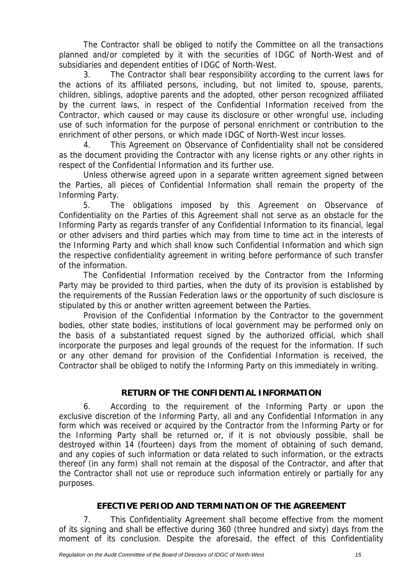The Contractor shall be obliged to notify the Committee on all the transactions planned and/or completed by it with the securities of IDGC of North-West and of subsidiaries and dependent entities of IDGC of North-West.

3. The Contractor shall bear responsibility according to the current laws for the actions of its affiliated persons, including, but not limited to, spouse, parents, children, siblings, adoptive parents and the adopted, other person recognized affiliated by the current laws, in respect of the Confidential Information received from the Contractor, which caused or may cause its disclosure or other wrongful use, including use of such information for the purpose of personal enrichment or contribution to the enrichment of other persons, or which made IDGC of North-West incur losses.

4. This Agreement on Observance of Confidentiality shall not be considered as the document providing the Contractor with any license rights or any other rights in respect of the Confidential Information and its further use.

Unless otherwise agreed upon in a separate written agreement signed between the Parties, all pieces of Confidential Information shall remain the property of the Informing Party.

5. The obligations imposed by this Agreement on Observance of Confidentiality on the Parties of this Agreement shall not serve as an obstacle for the Informing Party as regards transfer of any Confidential Information to its financial, legal or other advisers and third parties which may from time to time act in the interests of the Informing Party and which shall know such Confidential Information and which sign the respective confidentiality agreement in writing before performance of such transfer of the information.

The Confidential Information received by the Contractor from the Informing Party may be provided to third parties, when the duty of its provision is established by the requirements of the Russian Federation laws or the opportunity of such disclosure is stipulated by this or another written agreement between the Parties.

Provision of the Confidential Information by the Contractor to the government bodies, other state bodies, institutions of local government may be performed only on the basis of a substantiated request signed by the authorized official, which shall incorporate the purposes and legal grounds of the request for the information. If such or any other demand for provision of the Confidential Information is received, the Contractor shall be obliged to notify the Informing Party on this immediately in writing.

# **RETURN OF THE CONFIDENTIAL INFORMATION**

6. According to the requirement of the Informing Party or upon the exclusive discretion of the Informing Party, all and any Confidential Information in any form which was received or acquired by the Contractor from the Informing Party or for the Informing Party shall be returned or, if it is not obviously possible, shall be destroyed within 14 (fourteen) days from the moment of obtaining of such demand, and any copies of such information or data related to such information, or the extracts thereof (in any form) shall not remain at the disposal of the Contractor, and after that the Contractor shall not use or reproduce such information entirely or partially for any purposes.

# **EFECTIVE PERIOD AND TERMINATION OF THE AGREEMENT**

7. This Confidentiality Agreement shall become effective from the moment of its signing and shall be effective during 360 (three hundred and sixty) days from the moment of its conclusion. Despite the aforesaid, the effect of this Confidentiality